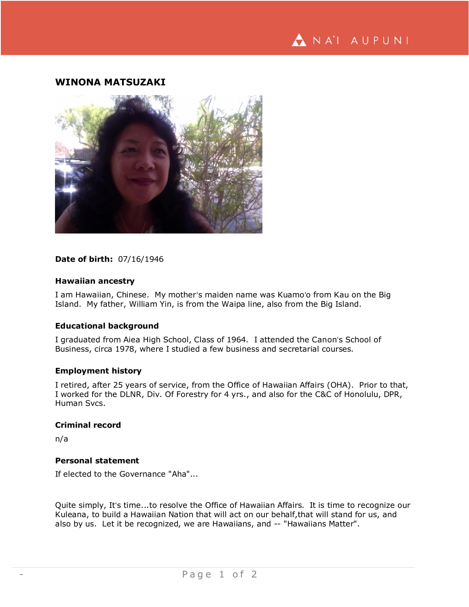# **WINONA MATSUZAKI**



## **Date of birth:** 07/16/1946

## **Hawaiian ancestry**

I am Hawaiian, Chinese. My motherʻs maiden name was Kuamoʻo from Kau on the Big Island. My father, William Yin, is from the Waipa line, also from the Big Island.

## **Educational background**

I graduated from Aiea High School, Class of 1964. I attended the Canonʻs School of Business, circa 1978, where I studied a few business and secretarial courses.

## **Employment history**

I retired, after 25 years of service, from the Office of Hawaiian Affairs (OHA). Prior to that, I worked for the DLNR, Div. Of Forestry for 4 yrs., and also for the C&C of Honolulu, DPR, Human Svcs.

## **Criminal record**

n/a

# **Personal statement**

If elected to the Governance "Aha"...

Quite simply, Itʻs time...to resolve the Office of Hawaiian Affairs. It is time to recognize our Kuleana, to build a Hawaiian Nation that will act on our behalf,that will stand for us, and also by us. Let it be recognized, we are Hawaiians, and -- "Hawaiians Matter".